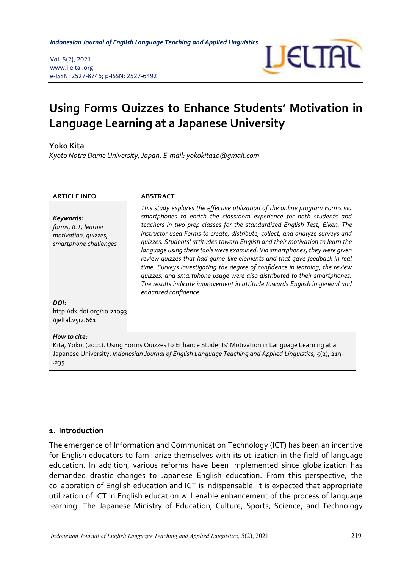*Indonesian Journal of English Language Teaching and Applied Linguistics* 

Vol. 5(2), 2021 www.ijeltal.org e-ISSN: 2527-8746; p-ISSN: 2527-6492



# **Using Forms Quizzes to Enhance Students' Motivation in Language Learning at a Japanese University**

#### **Yoko Kita**

*Kyoto Notre Dame University, Japan. E-mail: yokokita10@gmail.com*

| <b>ARTICLE INFO</b>                                                                                                                                                                                                                   | <b>ABSTRACT</b>                                                                                                                                                                                                                                                                                                                                                                                                                                                                                                                                                                                                                                                                                                                                                                                                                      |
|---------------------------------------------------------------------------------------------------------------------------------------------------------------------------------------------------------------------------------------|--------------------------------------------------------------------------------------------------------------------------------------------------------------------------------------------------------------------------------------------------------------------------------------------------------------------------------------------------------------------------------------------------------------------------------------------------------------------------------------------------------------------------------------------------------------------------------------------------------------------------------------------------------------------------------------------------------------------------------------------------------------------------------------------------------------------------------------|
| Keywords:<br>forms, ICT, learner<br>motivation, quizzes,<br>smartphone challenges                                                                                                                                                     | This study explores the effective utilization of the online program Forms via<br>smartphones to enrich the classroom experience for both students and<br>teachers in two prep classes for the standardized English Test, Eiken. The<br>instructor used Forms to create, distribute, collect, and analyze surveys and<br>quizzes. Students' attitudes toward English and their motivation to learn the<br>language using these tools were examined. Via smartphones, they were given<br>review quizzes that had game-like elements and that gave feedback in real<br>time. Surveys investigating the degree of confidence in learning, the review<br>quizzes, and smartphone usage were also distributed to their smartphones.<br>The results indicate improvement in attitude towards English in general and<br>enhanced confidence. |
| DOI:<br>http://dx.doi.org/10.21093<br>/ijeltal.v5i2.661                                                                                                                                                                               |                                                                                                                                                                                                                                                                                                                                                                                                                                                                                                                                                                                                                                                                                                                                                                                                                                      |
| How to cite:<br>Kita, Yoko. (2021). Using Forms Quizzes to Enhance Students' Motivation in Language Learning at a<br>Japanese University. Indonesian Journal of English Language Teaching and Applied Linguistics, 5(2), 219-<br>.235 |                                                                                                                                                                                                                                                                                                                                                                                                                                                                                                                                                                                                                                                                                                                                                                                                                                      |

#### **1. Introduction**

The emergence of Information and Communication Technology (ICT) has been an incentive for English educators to familiarize themselves with its utilization in the field of language education. In addition, various reforms have been implemented since globalization has demanded drastic changes to Japanese English education. From this perspective, the collaboration of English education and ICT is indispensable. It is expected that appropriate utilization of ICT in English education will enable enhancement of the process of language learning. The Japanese Ministry of Education, Culture, Sports, Science, and Technology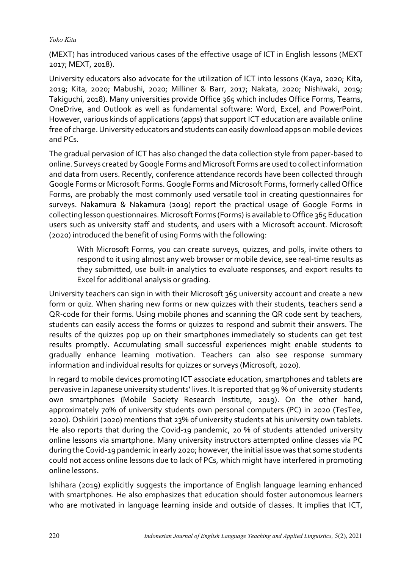(MEXT) has introduced various cases of the effective usage of ICT in English lessons (MEXT 2017; MEXT, 2018).

University educators also advocate for the utilization of ICT into lessons (Kaya, 2020; Kita, 2019; Kita, 2020; Mabushi, 2020; Milliner & Barr, 2017; Nakata, 2020; Nishiwaki, 2019; Takiguchi, 2018). Many universities provide Office 365 which includes Office Forms, Teams, OneDrive, and Outlook as well as fundamental software: Word, Excel, and PowerPoint. However, various kinds of applications (apps) that support ICT education are available online free of charge. University educators and students can easily download apps on mobile devices and PCs.

The gradual pervasion of ICT has also changed the data collection style from paper-based to online. Surveys created by Google Forms and Microsoft Forms are used to collect information and data from users. Recently, conference attendance records have been collected through Google Forms or Microsoft Forms. Google Forms and Microsoft Forms, formerly called Office Forms, are probably the most commonly used versatile tool in creating questionnaires for surveys. Nakamura & Nakamura (2019) report the practical usage of Google Forms in collecting lesson questionnaires. Microsoft Forms (Forms) is available to Office 365 Education users such as university staff and students, and users with a Microsoft account. Microsoft (2020) introduced the benefit of using Forms with the following:

With Microsoft Forms, you can create surveys, quizzes, and polls, invite others to respond to it using almost any web browser or mobile device, see real-time results as they submitted, use built-in analytics to evaluate responses, and export results to Excel for additional analysis or grading.

University teachers can sign in with their Microsoft 365 university account and create a new form or quiz. When sharing new forms or new quizzes with their students, teachers send a QR-code for their forms. Using mobile phones and scanning the QR code sent by teachers, students can easily access the forms or quizzes to respond and submit their answers. The results of the quizzes pop up on their smartphones immediately so students can get test results promptly. Accumulating small successful experiences might enable students to gradually enhance learning motivation. Teachers can also see response summary information and individual results for quizzes or surveys (Microsoft, 2020).

In regard to mobile devices promoting ICT associate education, smartphones and tablets are pervasive in Japanese university students' lives. It is reported that 99 % of university students own smartphones (Mobile Society Research Institute, 2019). On the other hand, approximately 70% of university students own personal computers (PC) in 2020 (TesTee, 2020). Oshikiri (2020) mentions that 23% of university students at his university own tablets. He also reports that during the Covid-19 pandemic, 20 % of students attended university online lessons via smartphone. Many university instructors attempted online classes via PC during the Covid-19 pandemic in early 2020; however, the initial issue was that some students could not access online lessons due to lack of PCs, which might have interfered in promoting online lessons.

Ishihara (2019) explicitly suggests the importance of English language learning enhanced with smartphones. He also emphasizes that education should foster autonomous learners who are motivated in language learning inside and outside of classes. It implies that ICT,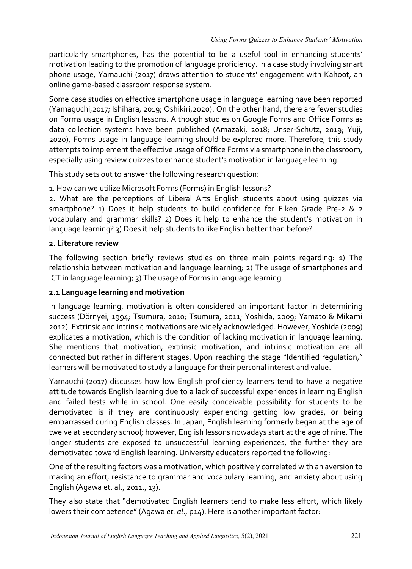particularly smartphones, has the potential to be a useful tool in enhancing students' motivation leading to the promotion of language proficiency. In a case study involving smart phone usage, Yamauchi (2017) draws attention to students' engagement with Kahoot, an online game-based classroom response system.

Some case studies on effective smartphone usage in language learning have been reported (Yamaguchi,2017; Ishihara, 2019; Oshikiri,2020). On the other hand, there are fewer studies on Forms usage in English lessons. Although studies on Google Forms and Office Forms as data collection systems have been published (Amazaki, 2018; Unser-Schutz, 2019; Yuji, 2020), Forms usage in language learning should be explored more. Therefore, this study attempts to implement the effective usage of Office Forms via smartphone in the classroom, especially using review quizzes to enhance student's motivation in language learning.

This study sets out to answer the following research question:

1. How can we utilize Microsoft Forms (Forms) in English lessons?

2. What are the perceptions of Liberal Arts English students about using quizzes via smartphone? 1) Does it help students to build confidence for Eiken Grade Pre-2 & 2 vocabulary and grammar skills? 2) Does it help to enhance the student's motivation in language learning? 3) Does it help students to like English better than before?

#### **2. Literature review**

The following section briefly reviews studies on three main points regarding: 1) The relationship between motivation and language learning; 2) The usage of smartphones and ICT in language learning; 3) The usage of Forms in language learning

## **2.1 Language learning and motivation**

In language learning, motivation is often considered an important factor in determining success (Dörnyei, 1994; Tsumura, 2010; Tsumura, 2011; Yoshida, 2009; Yamato & Mikami 2012). Extrinsic and intrinsic motivations are widely acknowledged. However, Yoshida (2009) explicates a motivation, which is the condition of lacking motivation in language learning. She mentions that motivation, extrinsic motivation, and intrinsic motivation are all connected but rather in different stages. Upon reaching the stage "Identified regulation," learners will be motivated to study a language for their personal interest and value.

Yamauchi (2017) discusses how low English proficiency learners tend to have a negative attitude towards English learning due to a lack of successful experiences in learning English and failed tests while in school. One easily conceivable possibility for students to be demotivated is if they are continuously experiencing getting low grades, or being embarrassed during English classes. In Japan, English learning formerly began at the age of twelve at secondary school; however, English lessons nowadays start at the age of nine. The longer students are exposed to unsuccessful learning experiences, the further they are demotivated toward English learning. University educators reported the following:

One of the resulting factors was a motivation, which positively correlated with an aversion to making an effort, resistance to grammar and vocabulary learning, and anxiety about using English (Agawa et. al., 2011., 13).

They also state that "demotivated English learners tend to make less effort, which likely lowers their competence" (Agawa *et. al*., p14). Here is another important factor: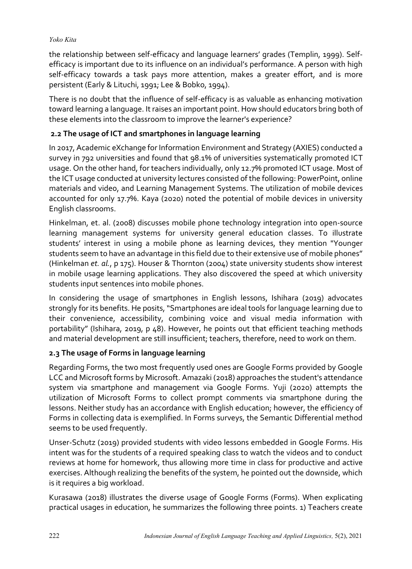the relationship between self-efficacy and language learners' grades (Templin, 1999). Selfefficacy is important due to its influence on an individual's performance. A person with high self-efficacy towards a task pays more attention, makes a greater effort, and is more persistent (Early & Lituchi, 1991; Lee & Bobko, 1994).

There is no doubt that the influence of self-efficacy is as valuable as enhancing motivation toward learning a language. It raises an important point. How should educators bring both of these elements into the classroom to improve the learner's experience?

# **2.2 The usage of ICT and smartphones in language learning**

In 2017, Academic eXchange for Information Environment and Strategy (AXIES) conducted a survey in 792 universities and found that 98.1% of universities systematically promoted ICT usage. On the other hand, for teachers individually, only 12.7% promoted ICT usage. Most of the ICT usage conducted at university lectures consisted of the following: PowerPoint, online materials and video, and Learning Management Systems. The utilization of mobile devices accounted for only 17.7%. Kaya (2020) noted the potential of mobile devices in university English classrooms.

Hinkelman, et. al. (2008) discusses mobile phone technology integration into open-source learning management systems for university general education classes. To illustrate students' interest in using a mobile phone as learning devices, they mention "Younger students seem to have an advantage in this field due to their extensive use of mobile phones" (Hinkelman *et. al.*, p 175). Houser & Thornton (2004) state university students show interest in mobile usage learning applications. They also discovered the speed at which university students input sentences into mobile phones.

In considering the usage of smartphones in English lessons, Ishihara (2019) advocates strongly for its benefits. He posits, "Smartphones are ideal tools for language learning due to their convenience, accessibility, combining voice and visual media information with portability" (Ishihara, 2019, p 48). However, he points out that efficient teaching methods and material development are still insufficient; teachers, therefore, need to work on them.

## **2.3 The usage of Forms in language learning**

Regarding Forms, the two most frequently used ones are Google Forms provided by Google LCC and Microsoft forms by Microsoft. Amazaki (2018) approaches the student's attendance system via smartphone and management via Google Forms. Yuji (2020) attempts the utilization of Microsoft Forms to collect prompt comments via smartphone during the lessons. Neither study has an accordance with English education; however, the efficiency of Forms in collecting data is exemplified. In Forms surveys, the Semantic Differential method seems to be used frequently.

Unser-Schutz (2019) provided students with video lessons embedded in Google Forms. His intent was for the students of a required speaking class to watch the videos and to conduct reviews at home for homework, thus allowing more time in class for productive and active exercises. Although realizing the benefits of the system, he pointed out the downside, which is it requires a big workload.

Kurasawa (2018) illustrates the diverse usage of Google Forms (Forms). When explicating practical usages in education, he summarizes the following three points. 1) Teachers create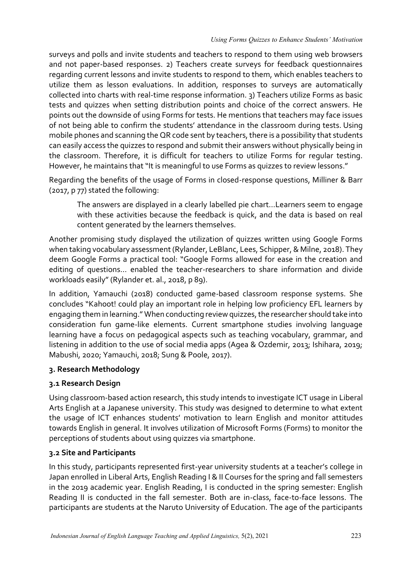surveys and polls and invite students and teachers to respond to them using web browsers and not paper-based responses. 2) Teachers create surveys for feedback questionnaires regarding current lessons and invite students to respond to them, which enables teachers to utilize them as lesson evaluations. In addition, responses to surveys are automatically collected into charts with real-time response information. 3) Teachers utilize Forms as basic tests and quizzes when setting distribution points and choice of the correct answers. He points out the downside of using Forms for tests. He mentions that teachers may face issues of not being able to confirm the students' attendance in the classroom during tests. Using mobile phones and scanning the QR code sent by teachers, there is a possibility that students can easily access the quizzes to respond and submit their answers without physically being in the classroom. Therefore, it is difficult for teachers to utilize Forms for regular testing. However, he maintains that "It is meaningful to use Forms as quizzes to review lessons."

Regarding the benefits of the usage of Forms in closed-response questions, Milliner & Barr (2017, p 77) stated the following:

The answers are displayed in a clearly labelled pie chart…Learners seem to engage with these activities because the feedback is quick, and the data is based on real content generated by the learners themselves.

Another promising study displayed the utilization of quizzes written using Google Forms when taking vocabulary assessment (Rylander, LeBlanc, Lees, Schipper, & Milne, 2018). They deem Google Forms a practical tool: "Google Forms allowed for ease in the creation and editing of questions… enabled the teacher-researchers to share information and divide workloads easily" (Rylander et. al., 2018, p 89).

In addition, Yamauchi (2018) conducted game-based classroom response systems. She concludes "Kahoot! could play an important role in helping low proficiency EFL learners by engaging them in learning." When conducting review quizzes, the researcher should take into consideration fun game-like elements. Current smartphone studies involving language learning have a focus on pedagogical aspects such as teaching vocabulary, grammar, and listening in addition to the use of social media apps (Agea & Ozdemir, 2013; Ishihara, 2019; Mabushi, 2020; Yamauchi, 2018; Sung & Poole, 2017).

## **3. Research Methodology**

## **3.1 Research Design**

Using classroom-based action research, this study intends to investigate ICT usage in Liberal Arts English at a Japanese university. This study was designed to determine to what extent the usage of ICT enhances students' motivation to learn English and monitor attitudes towards English in general. It involves utilization of Microsoft Forms (Forms) to monitor the perceptions of students about using quizzes via smartphone.

# **3.2 Site and Participants**

In this study, participants represented first-year university students at a teacher's college in Japan enrolled in Liberal Arts, English Reading I & II Courses for the spring and fall semesters in the 2019 academic year. English Reading, I is conducted in the spring semester: English Reading II is conducted in the fall semester. Both are in-class, face-to-face lessons. The participants are students at the Naruto University of Education. The age of the participants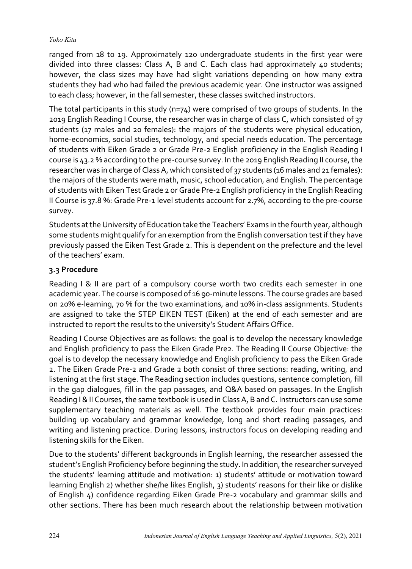ranged from 18 to 19. Approximately 120 undergraduate students in the first year were divided into three classes: Class A, B and C. Each class had approximately 40 students; however, the class sizes may have had slight variations depending on how many extra students they had who had failed the previous academic year. One instructor was assigned to each class; however, in the fall semester, these classes switched instructors.

The total participants in this study (n=74) were comprised of two groups of students. In the 2019 English Reading I Course, the researcher was in charge of class C, which consisted of 37 students (17 males and 20 females): the majors of the students were physical education, home-economics, social studies, technology, and special needs education. The percentage of students with Eiken Grade 2 or Grade Pre-2 English proficiency in the English Reading I course is 43.2 % according to the pre-course survey. In the 2019 English Reading II course, the researcher was in charge of Class A, which consisted of 37 students (16 males and 21 females): the majors of the students were math, music, school education, and English. The percentage of students with Eiken Test Grade 2 or Grade Pre-2 English proficiency in the English Reading II Course is 37.8 %: Grade Pre-1 level students account for 2.7%, according to the pre-course survey.

Students at the University of Education take the Teachers' Exams in the fourth year, although some students might qualify for an exemption from the English conversation test if they have previously passed the Eiken Test Grade 2. This is dependent on the prefecture and the level of the teachers' exam.

### **3.3 Procedure**

Reading I & II are part of a compulsory course worth two credits each semester in one academic year. The course is composed of 16 90-minute lessons. The course grades are based on 20% e-learning, 70 % for the two examinations, and 10% in-class assignments. Students are assigned to take the STEP EIKEN TEST (Eiken) at the end of each semester and are instructed to report the results to the university's Student Affairs Office.

Reading I Course Objectives are as follows: the goal is to develop the necessary knowledge and English proficiency to pass the Eiken Grade Pre2. The Reading II Course Objective: the goal is to develop the necessary knowledge and English proficiency to pass the Eiken Grade 2. The Eiken Grade Pre-2 and Grade 2 both consist of three sections: reading, writing, and listening at the first stage. The Reading section includes questions, sentence completion, fill in the gap dialogues, fill in the gap passages, and Q&A based on passages. In the English Reading I & II Courses, the same textbook is used in Class A, B and C. Instructors can use some supplementary teaching materials as well. The textbook provides four main practices: building up vocabulary and grammar knowledge, long and short reading passages, and writing and listening practice. During lessons, instructors focus on developing reading and listening skills for the Eiken.

Due to the students' different backgrounds in English learning, the researcher assessed the student's English Proficiency before beginning the study. In addition, the researcher surveyed the students' learning attitude and motivation: 1) students' attitude or motivation toward learning English 2) whether she/he likes English, 3) students' reasons for their like or dislike of English 4) confidence regarding Eiken Grade Pre-2 vocabulary and grammar skills and other sections. There has been much research about the relationship between motivation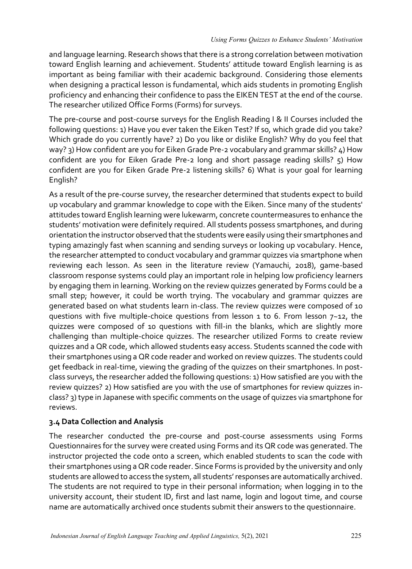and language learning. Research shows that there is a strong correlation between motivation toward English learning and achievement. Students' attitude toward English learning is as important as being familiar with their academic background. Considering those elements when designing a practical lesson is fundamental, which aids students in promoting English proficiency and enhancing their confidence to pass the EIKEN TEST at the end of the course. The researcher utilized Office Forms (Forms) for surveys.

The pre-course and post-course surveys for the English Reading I & II Courses included the following questions: 1) Have you ever taken the Eiken Test? If so, which grade did you take? Which grade do you currently have? 2) Do you like or dislike English? Why do you feel that way? 3) How confident are you for Eiken Grade Pre-2 vocabulary and grammar skills? 4) How confident are you for Eiken Grade Pre-2 long and short passage reading skills? 5) How confident are you for Eiken Grade Pre-2 listening skills? 6) What is your goal for learning English?

As a result of the pre-course survey, the researcher determined that students expect to build up vocabulary and grammar knowledge to cope with the Eiken. Since many of the students' attitudes toward English learning were lukewarm, concrete countermeasures to enhance the students' motivation were definitely required. All students possess smartphones, and during orientation the instructor observed that the students were easily using their smartphones and typing amazingly fast when scanning and sending surveys or looking up vocabulary. Hence, the researcher attempted to conduct vocabulary and grammar quizzes via smartphone when reviewing each lesson. As seen in the literature review (Yamauchi, 2018), game-based classroom response systems could play an important role in helping low proficiency learners by engaging them in learning. Working on the review quizzes generated by Forms could be a small step; however, it could be worth trying. The vocabulary and grammar quizzes are generated based on what students learn in-class. The review quizzes were composed of 10 questions with five multiple-choice questions from lesson  $1$  to 6. From lesson  $7-12$ , the quizzes were composed of 10 questions with fill-in the blanks, which are slightly more challenging than multiple-choice quizzes. The researcher utilized Forms to create review quizzes and a QR code, which allowed students easy access. Students scanned the code with their smartphones using a QR code reader and worked on review quizzes. The students could get feedback in real-time, viewing the grading of the quizzes on their smartphones. In postclass surveys, the researcher added the following questions: 1) How satisfied are you with the review quizzes? 2) How satisfied are you with the use of smartphones for review quizzes inclass? 3) type in Japanese with specific comments on the usage of quizzes via smartphone for reviews.

## **3.4 Data Collection and Analysis**

The researcher conducted the pre-course and post-course assessments using Forms Questionnaires for the survey were created using Forms and its QR code was generated. The instructor projected the code onto a screen, which enabled students to scan the code with their smartphones using a QR code reader. Since Forms is provided by the university and only students are allowed to access the system, all students' responses are automatically archived. The students are not required to type in their personal information; when logging in to the university account, their student ID, first and last name, login and logout time, and course name are automatically archived once students submit their answers to the questionnaire.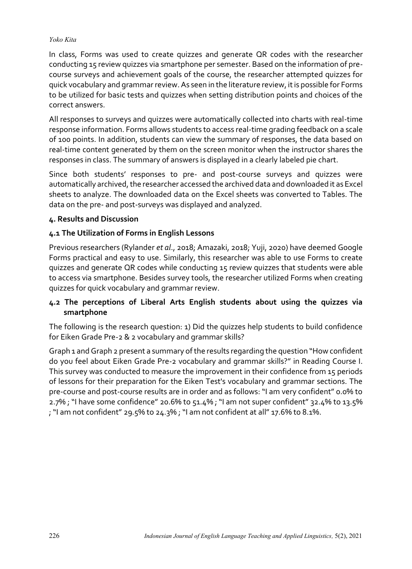In class, Forms was used to create quizzes and generate QR codes with the researcher conducting 15 review quizzes via smartphone per semester. Based on the information of precourse surveys and achievement goals of the course, the researcher attempted quizzes for quick vocabulary and grammar review. As seen in the literature review, it is possible for Forms to be utilized for basic tests and quizzes when setting distribution points and choices of the correct answers.

All responses to surveys and quizzes were automatically collected into charts with real-time response information. Forms allows students to access real-time grading feedback on a scale of 100 points. In addition, students can view the summary of responses, the data based on real-time content generated by them on the screen monitor when the instructor shares the responses in class. The summary of answers is displayed in a clearly labeled pie chart.

Since both students' responses to pre- and post-course surveys and quizzes were automatically archived, the researcher accessed the archived data and downloaded it as Excel sheets to analyze. The downloaded data on the Excel sheets was converted to Tables. The data on the pre- and post-surveys was displayed and analyzed.

## **4. Results and Discussion**

## **4.1 The Utilization of Forms in English Lessons**

Previous researchers (Rylander *et al*., 2018; Amazaki, 2018; Yuji, 2020) have deemed Google Forms practical and easy to use. Similarly, this researcher was able to use Forms to create quizzes and generate QR codes while conducting 15 review quizzes that students were able to access via smartphone. Besides survey tools, the researcher utilized Forms when creating quizzes for quick vocabulary and grammar review.

## **4.2 The perceptions of Liberal Arts English students about using the quizzes via smartphone**

The following is the research question: 1) Did the quizzes help students to build confidence for Eiken Grade Pre-2 & 2 vocabulary and grammar skills?

Graph 1 and Graph 2 present a summary of the results regarding the question "How confident do you feel about Eiken Grade Pre-2 vocabulary and grammar skills?" in Reading Course I. This survey was conducted to measure the improvement in their confidence from 15 periods of lessons for their preparation for the Eiken Test's vocabulary and grammar sections. The pre-course and post-course results are in order and as follows: "I am very confident" 0.0% to 2.7% ; "I have some confidence" 20.6% to 51.4% ; "I am not super confident" 32.4% to 13.5% ; "I am not confident" 29.5% to 24.3% ; "I am not confident at all" 17.6% to 8.1%.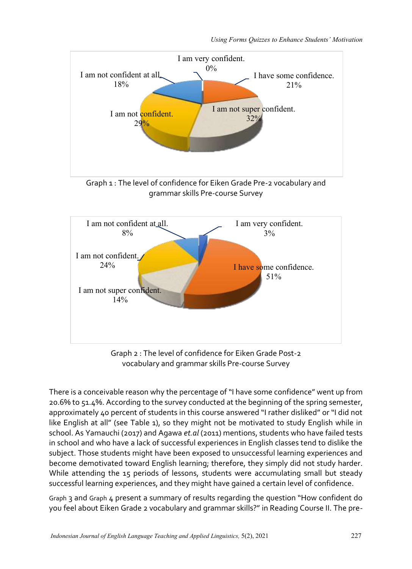



Graph 2 : The level of confidence for Eiken Grade Post-2 vocabulary and grammar skills Pre-course Survey

There is a conceivable reason why the percentage of "I have some confidence" went up from 20.6% to 51.4%. According to the survey conducted at the beginning of the spring semester, approximately 40 percent of students in this course answered "I rather disliked" or "I did not like English at all" (see Table 1), so they might not be motivated to study English while in school. As Yamauchi (2017) and Agawa *et.al* (2011) mentions, students who have failed tests in school and who have a lack of successful experiences in English classes tend to dislike the subject. Those students might have been exposed to unsuccessful learning experiences and become demotivated toward English learning; therefore, they simply did not study harder. While attending the 15 periods of lessons, students were accumulating small but steady successful learning experiences, and they might have gained a certain level of confidence.

Graph 3 and Graph 4 present a summary of results regarding the question "How confident do you feel about Eiken Grade 2 vocabulary and grammar skills?" in Reading Course II. The pre-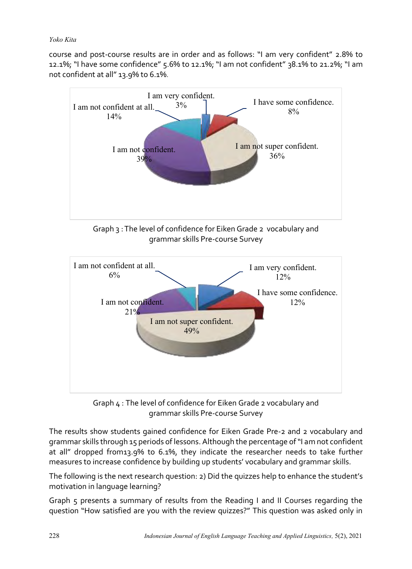course and post-course results are in order and as follows: "I am very confident" 2.8% to 12.1%; "I have some confidence" 5.6% to 12.1%; "I am not confident" 38.1% to 21.2%; "I am not confident at all" 13.9% to 6.1%.





Graph 4 : The level of confidence for Eiken Grade 2 vocabulary and grammar skills Pre-course Survey

The results show students gained confidence for Eiken Grade Pre-2 and 2 vocabulary and grammar skills through 15 periods of lessons. Although the percentage of "I am not confident at all" dropped from13.9% to 6.1%, they indicate the researcher needs to take further measures to increase confidence by building up students' vocabulary and grammar skills.

The following is the next research question: 2) Did the quizzes help to enhance the student's motivation in language learning?

Graph 5 presents a summary of results from the Reading I and II Courses regarding the question "How satisfied are you with the review quizzes?" This question was asked only in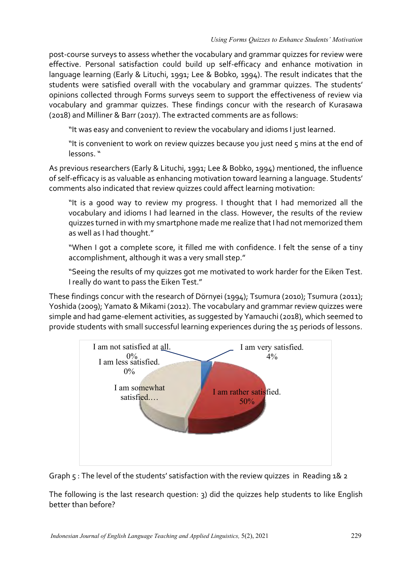post-course surveys to assess whether the vocabulary and grammar quizzes for review were effective. Personal satisfaction could build up self-efficacy and enhance motivation in language learning (Early & Lituchi, 1991; Lee & Bobko, 1994). The result indicates that the students were satisfied overall with the vocabulary and grammar quizzes. The students' opinions collected through Forms surveys seem to support the effectiveness of review via vocabulary and grammar quizzes. These findings concur with the research of Kurasawa (2018) and Milliner & Barr (2017). The extracted comments are as follows:

"It was easy and convenient to review the vocabulary and idioms I just learned.

"It is convenient to work on review quizzes because you just need 5 mins at the end of lessons. "

As previous researchers (Early & Lituchi, 1991; Lee & Bobko, 1994) mentioned, the influence of self-efficacy is as valuable as enhancing motivation toward learning a language. Students' comments also indicated that review quizzes could affect learning motivation:

"It is a good way to review my progress. I thought that I had memorized all the vocabulary and idioms I had learned in the class. However, the results of the review quizzes turned in with my smartphone made me realize that I had not memorized them as well as I had thought."

"When I got a complete score, it filled me with confidence. I felt the sense of a tiny accomplishment, although it was a very small step."

"Seeing the results of my quizzes got me motivated to work harder for the Eiken Test. I really do want to pass the Eiken Test."

These findings concur with the research of Dörnyei (1994); Tsumura (2010); Tsumura (2011); Yoshida (2009); Yamato & Mikami (2012). The vocabulary and grammar review quizzes were simple and had game-element activities, as suggested by Yamauchi (2018), which seemed to provide students with small successful learning experiences during the 15 periods of lessons.





The following is the last research question: 3) did the quizzes help students to like English better than before?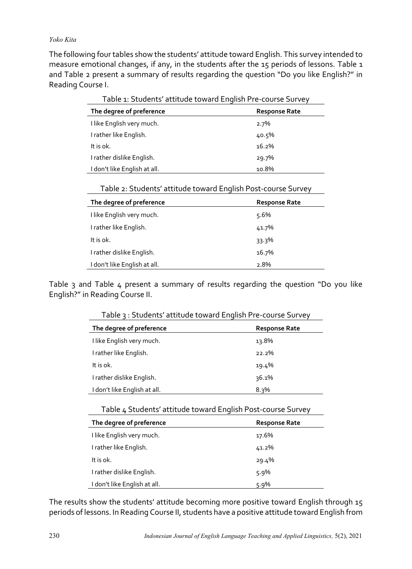The following four tables show the students' attitude toward English. This survey intended to measure emotional changes, if any, in the students after the 15 periods of lessons. Table 1 and Table 2 present a summary of results regarding the question "Do you like English?" in Reading Course I.

| l able 1: Students' attitude toward English Pre-course Survey |                      |  |
|---------------------------------------------------------------|----------------------|--|
| The degree of preference                                      | <b>Response Rate</b> |  |
| I like English very much.                                     | $2.7\%$              |  |
| I rather like English.                                        | 40.5%                |  |
| It is ok.                                                     | 16.2%                |  |
| I rather dislike English.                                     | 29.7%                |  |
| I don't like English at all.                                  | 10.8%                |  |

| Table 1: Students' attitude toward English Pre-course Survey |
|--------------------------------------------------------------|
|--------------------------------------------------------------|

| Table 2: Students' attitude toward English Post-course Survey |
|---------------------------------------------------------------|
|---------------------------------------------------------------|

| The degree of preference     | <b>Response Rate</b> |
|------------------------------|----------------------|
| I like English very much.    | 5.6%                 |
| I rather like English.       | 41.7%                |
| It is ok.                    | 33.3%                |
| I rather dislike English.    | 16.7%                |
| I don't like English at all. | 2.8%                 |

Table 3 and Table 4 present a summary of results regarding the question "Do you like English?" in Reading Course II.

| The degree of preference     | <b>Response Rate</b> |
|------------------------------|----------------------|
| I like English very much.    | 13.8%                |
| I rather like English.       | 22.2%                |
| It is ok.                    | 19.4%                |
| I rather dislike English.    | 36.1%                |
| I don't like English at all. | $8.3\%$              |
|                              |                      |

Table 3 : Students' attitude toward English Pre-course Survey

| Table 4 Students' attitude toward English Post-course Survey |  |
|--------------------------------------------------------------|--|
|--------------------------------------------------------------|--|

| The degree of preference     | <b>Response Rate</b> |
|------------------------------|----------------------|
| I like English very much.    | 17.6%                |
| I rather like English.       | 41.2%                |
| It is ok.                    | 29.4%                |
| I rather dislike English.    | $5.9\%$              |
| I don't like English at all. | $5.9\%$              |

The results show the students' attitude becoming more positive toward English through 15 periods of lessons. In Reading Course II, students have a positive attitude toward English from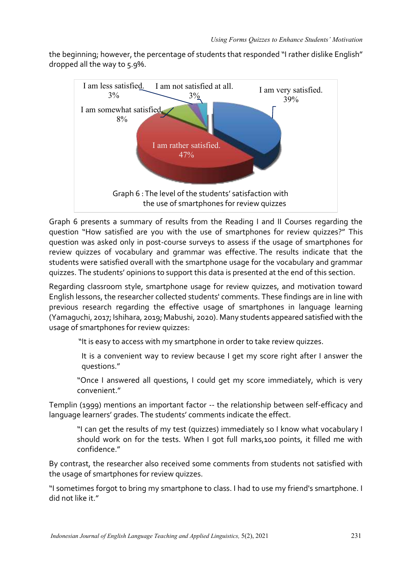the beginning; however, the percentage of students that responded "I rather dislike English" dropped all the way to 5.9%.



Graph 6 presents a summary of results from the Reading I and II Courses regarding the question "How satisfied are you with the use of smartphones for review quizzes?" This question was asked only in post-course surveys to assess if the usage of smartphones for review quizzes of vocabulary and grammar was effective. The results indicate that the students were satisfied overall with the smartphone usage for the vocabulary and grammar quizzes. The students' opinions to support this data is presented at the end of this section.

Regarding classroom style, smartphone usage for review quizzes, and motivation toward English lessons, the researcher collected students' comments. These findings are in line with previous research regarding the effective usage of smartphones in language learning (Yamaguchi, 2017; Ishihara, 2019; Mabushi, 2020). Many students appeared satisfied with the usage of smartphones for review quizzes:

"It is easy to access with my smartphone in order to take review quizzes.

It is a convenient way to review because I get my score right after I answer the questions."

"Once I answered all questions, I could get my score immediately, which is very convenient."

Templin (1999) mentions an important factor -- the relationship between self-efficacy and language learners' grades. The students' comments indicate the effect.

"I can get the results of my test (quizzes) immediately so I know what vocabulary I should work on for the tests. When I got full marks,100 points, it filled me with confidence."

By contrast, the researcher also received some comments from students not satisfied with the usage of smartphones for review quizzes.

"I sometimes forgot to bring my smartphone to class. I had to use my friend's smartphone. I did not like it."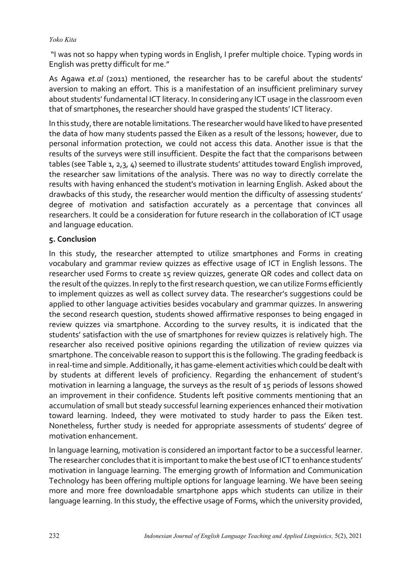"I was not so happy when typing words in English, I prefer multiple choice. Typing words in English was pretty difficult for me."

As Agawa *et.al* (2011) mentioned, the researcher has to be careful about the students' aversion to making an effort. This is a manifestation of an insufficient preliminary survey about students' fundamental ICT literacy. In considering any ICT usage in the classroom even that of smartphones, the researcher should have grasped the students' ICT literacy.

In this study, there are notable limitations. The researcher would have liked to have presented the data of how many students passed the Eiken as a result of the lessons; however, due to personal information protection, we could not access this data. Another issue is that the results of the surveys were still insufficient. Despite the fact that the comparisons between tables (see Table 1, 2,3, 4) seemed to illustrate students' attitudes toward English improved, the researcher saw limitations of the analysis. There was no way to directly correlate the results with having enhanced the student's motivation in learning English. Asked about the drawbacks of this study, the researcher would mention the difficulty of assessing students' degree of motivation and satisfaction accurately as a percentage that convinces all researchers. It could be a consideration for future research in the collaboration of ICT usage and language education.

## **5. Conclusion**

In this study, the researcher attempted to utilize smartphones and Forms in creating vocabulary and grammar review quizzes as effective usage of ICT in English lessons. The researcher used Forms to create 15 review quizzes, generate QR codes and collect data on the result of the quizzes. In reply to the first research question, we can utilize Forms efficiently to implement quizzes as well as collect survey data. The researcher's suggestions could be applied to other language activities besides vocabulary and grammar quizzes. In answering the second research question, students showed affirmative responses to being engaged in review quizzes via smartphone. According to the survey results, it is indicated that the students' satisfaction with the use of smartphones for review quizzes is relatively high. The researcher also received positive opinions regarding the utilization of review quizzes via smartphone. The conceivable reason to support this is the following. The grading feedback is in real-time and simple. Additionally, it has game-element activities which could be dealt with by students at different levels of proficiency. Regarding the enhancement of student's motivation in learning a language, the surveys as the result of 15 periods of lessons showed an improvement in their confidence. Students left positive comments mentioning that an accumulation of small but steady successful learning experiences enhanced their motivation toward learning. Indeed, they were motivated to study harder to pass the Eiken test. Nonetheless, further study is needed for appropriate assessments of students' degree of motivation enhancement.

In language learning, motivation is considered an important factor to be a successful learner. The researcher concludes that it is important to make the best use of ICT to enhance students' motivation in language learning. The emerging growth of Information and Communication Technology has been offering multiple options for language learning. We have been seeing more and more free downloadable smartphone apps which students can utilize in their language learning. In this study, the effective usage of Forms, which the university provided,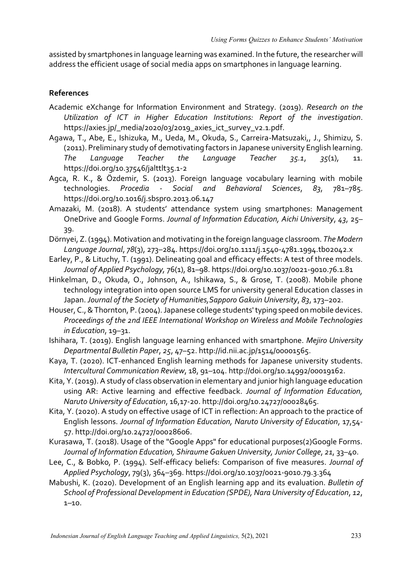assisted by smartphones in language learning was examined. In the future, the researcher will address the efficient usage of social media apps on smartphones in language learning.

### **References**

- Academic eXchange for Information Environment and Strategy. (2019). *Research on the Utilization of ICT in Higher Education Institutions: Report of the investigation*. https://axies.jp/\_media/2020/03/2019\_axies\_ict\_survey\_v2.1.pdf.
- Agawa, T., Abe, E., Ishizuka, M., Ueda, M., Okuda, S., Carreira-Matsuzaki,, J., Shimizu, S. (2011). Preliminary study of demotivating factors in Japanese university English learning. *The Language Teacher the Language Teacher 35.1*, *35*(1), 11. https://doi.org/10.37546/jalttlt35.1-2
- Agca, R. K., & Özdemir, S. (2013). Foreign language vocabulary learning with mobile technologies. *Procedia - Social and Behavioral Sciences*, *83*, 781–785. https://doi.org/10.1016/j.sbspro.2013.06.147
- Amazaki, M. (2018). A students' attendance system using smartphones: Management OneDrive and Google Forms. *Journal of Information Education, Aichi University*, *43*, 25– 39.
- Dörnyei, Z. (1994). Motivation and motivating in the foreign language classroom. *The Modern Language Journal*, *78*(3), 273–284. https://doi.org/10.1111/j.1540-4781.1994.tb02042.x
- Earley, P., & Lituchy, T. (1991). Delineating goal and efficacy effects: A test of three models. *Journal of Applied Psychology,* 76(1), 81–98. https://doi.org/10.1037/0021-9010.76.1.81
- Hinkelman, D., Okuda, O., Johnson, A., Ishikawa, S., & Grose, T. (2008). Mobile phone technology integration into open source LMS for university general Education classes in Japan. *Journal of the Society of Humanities,Sapporo Gakuin University*, *83*, 173–202.
- Houser, C., & Thornton, P. (2004). Japanese college students' typing speed on mobile devices. *Proceedings of the 2nd IEEE International Workshop on Wireless and Mobile Technologies in Education*, 19–31.
- Ishihara, T. (2019). English language learning enhanced with smartphone. *Mejiro University Departmental Bulletin Paper*, *25*, 47–52. http://id.nii.ac.jp/1514/00001565.
- Kaya, T. (2020). ICT-enhanced English learning methods for Japanese university students. *Intercultural Communication Review*, 18, 91–104. http://doi.org/10.14992/00019162.
- Kita, Y. (2019). A study of class observation in elementary and junior high language education using AR: Active learning and effective feedback. *Journal of Information Education, Naruto University of Education*, 16,17-20. http://doi.org/10.24727/00028465.
- Kita, Y. (2020). A study on effective usage of ICT in reflection: An approach to the practice of English lessons. *Journal of Information Education, Naruto University of Education*, 17,54- 57. http://doi.org/10.24727/00028606.
- Kurasawa, T. (2018). Usage of the "Google Apps" for educational purposes(2)Google Forms. *Journal of Information Education, Shiraume Gakuen University, Junior College*, *21*, 33–40.
- Lee, C., & Bobko, P. (1994). Self-efficacy beliefs: Comparison of five measures. *Journal of Applied Psychology*, 79(3), 364–369. https://doi.org/10.1037/0021-9010.79.3.364
- Mabushi, K. (2020). Development of an English learning app and its evaluation. *Bulletin of School of Professional Development in Education (SPDE), Nara University of Education*, *12*,  $1 - 10$ .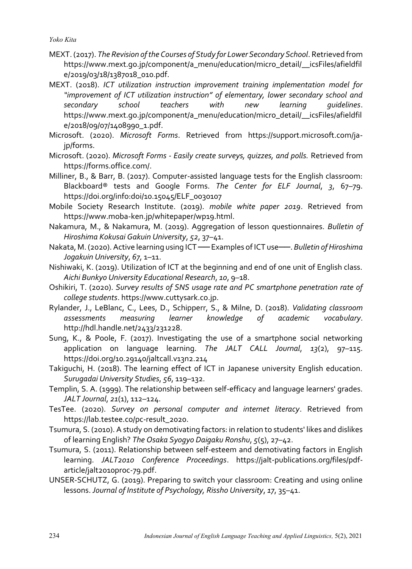- MEXT. (2017). *The Revision of the Courses of Study for Lower Secondary School*. Retrieved from https://www.mext.go.jp/component/a\_menu/education/micro\_detail/\_\_icsFiles/afieldfil e/2019/03/18/1387018\_010.pdf.
- MEXT. (2018). *ICT utilization instruction improvement training implementation model for "improvement of ICT utilization instruction" of elementary, lower secondary school and secondary school teachers with new learning guidelines*. https://www.mext.go.jp/component/a\_menu/education/micro\_detail/\_\_icsFiles/afieldfil e/2018/09/07/1408990\_1.pdf.
- Microsoft. (2020). *Microsoft Forms*. Retrieved from https://support.microsoft.com/jajp/forms.
- Microsoft. (2020). *Microsoft Forms - Easily create surveys, quizzes, and polls.* Retrieved from https://forms.office.com/.
- Milliner, B., & Barr, B. (2017). Computer-assisted language tests for the English classroom: Blackboard® tests and Google Forms. *The Center for ELF Journal*, *3*, 67–79. https://doi.org/info:doi/10.15045/ELF\_0030107
- Mobile Society Research Institute. (2019). *mobile white paper 2019*. Retrieved from https://www.moba-ken.jp/whitepaper/wp19.html.
- Nakamura, M., & Nakamura, M. (2019). Aggregation of lesson questionnaires. *Bulletin of Hiroshima Kokusai Gakuin University*, *52*, 37–41.
- Nakata, M. (2020). Active learning using ICT ── Examples of ICT use──. *Bulletin of Hiroshima Jogakuin University*, *67*, 1–11.
- Nishiwaki, K. (2019). Utilization of ICT at the beginning and end of one unit of English class. *Aichi Bunkyo University Educational Research*, *10*, 9–18.
- Oshikiri, T. (2020). *Survey results of SNS usage rate and PC smartphone penetration rate of college students*. https://www.cuttysark.co.jp.
- Rylander, J., LeBlanc, C., Lees, D., Schipperr, S., & Milne, D. (2018). *Validating classroom assessments measuring learner knowledge of academic vocabulary*. http://hdl.handle.net/2433/231228.
- Sung, K., & Poole, F. (2017). Investigating the use of a smartphone social networking application on language learning. *The JALT CALL Journal*, *13*(2), 97–115. https://doi.org/10.29140/jaltcall.v13n2.214
- Takiguchi, H. (2018). The learning effect of ICT in Japanese university English education. *Surugadai University Studies*, *56*, 119–132.
- Templin, S. A. (1999). The relationship between self-efficacy and language learners' grades. *JALT Journal*, *21*(1), 112–124.
- TesTee. (2020). *Survey on personal computer and internet literacy*. Retrieved from https://lab.testee.co/pc-result\_2020.
- Tsumura, S. (2010). A study on demotivating factors: in relation to students' likes and dislikes of learning English? *The Osaka Syogyo Daigaku Ronshu*, *5*(5), 27–42.
- Tsumura, S. (2011). Relationship between self-esteem and demotivating factors in English learning. *JALT2010 Conference Proceedings*. https://jalt-publications.org/files/pdfarticle/jalt2010proc-79.pdf.
- UNSER-SCHUTZ, G. (2019). Preparing to switch your classroom: Creating and using online lessons. *Journal of Institute of Psychology, Rissho University*, *17*, 35–41.